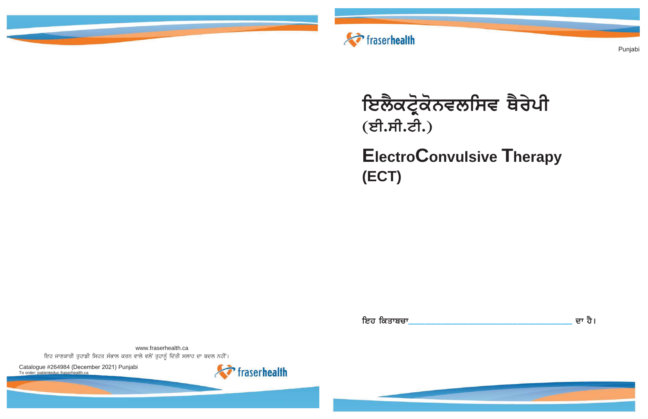

# ਇਲੈਕਟ੍ਰੋਕੋਨਵਲਸਿਵ ਥੈਰੇਪੀ (ਈ.ਸੀ.ਟੀ.)

## **ElectroConvulsive Therapy** (ECT)

ਇਹ ਕਿਤਾਬਚਾ

www.fraserhealth.ca ਇਹ ਜਾਣਕਾਰੀ ਤੁਹਾਡੀ ਸਿਹਤ ਸੰਭਾਲ ਕਰਨ ਵਾਲੇ ਵਲੋਂ ਤੁਹਾਨੂੰ ਦਿੱਤੀ ਸਲਾਹ ਦਾ ਬਦਲ ਨਹੀਂ।

Catalogue #264984 (December 2021) Punjabi To order: patienteduc.fraserhealth.ca



Punjabi

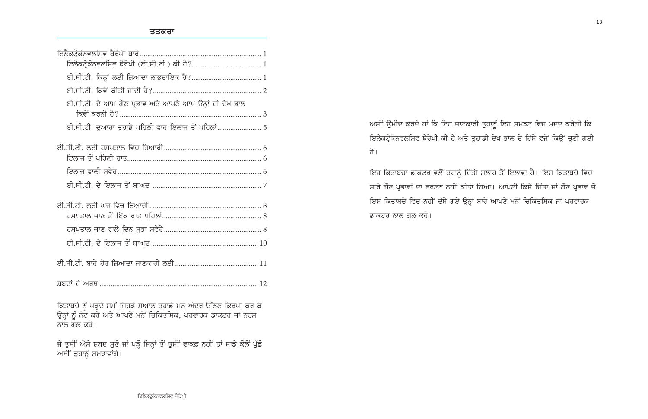| ਈ.ਸੀ.ਟੀ. ਦੇ ਆਮ ਗੌਣ ਪ੍ਰਭਾਵ ਅਤੇ ਆਪਣੇ ਆਪ ਉਨ੍ਹਾਂ ਦੀ ਦੇਖ ਭਾਲ            |
|--------------------------------------------------------------------|
| ਈ.ਸੀ.ਟੀ. ਦੁਆਰਾ ਤੁਹਾਡੇ ਪਹਿਲੀ ਵਾਰ ਇਲਾਜ ਤੋਂ ਪਹਿਲਾਂ 5                  |
|                                                                    |
|                                                                    |
|                                                                    |
|                                                                    |
|                                                                    |
|                                                                    |
|                                                                    |
|                                                                    |
|                                                                    |
| ਕਿਤਾਬਚੇ ਨੂੰ ਪੜ੍ਹਦੇ ਸਮੇਂ ਜਿਹੜੇ ਸੁਆਲ ਤੁਹਾਡੇ ਮਨ ਅੰਦਰ ਉੱਠਣ ਕਿਰਪਾ ਕਰ ਕੇ |

ਉਨ੍ਹਾਂ ਨੂੰ ਨੋਟ ਕਰੋ ਅਤੇ ਆਪਣੇ ਮਨੋਂ ਚਿਕਿਤਸਿਕ, ਪਰਵਾਰਕ ਡਾਕਟਰ ਜਾਂ ਨਰਸ ਨਾਲ ਗਲ ਕਰੋ।

ਜੇ ਤੁਸੀਂ ਐਸੇ ਸ਼ਬਦ ਸੁਣੋ ਜਾਂ ਪੜ੍ਹ ਜਿਨ੍ਹਾਂ ਤੋਂ ਤੁਸੀਂ ਵਾਕਫ਼ ਨਹੀਂ ਤਾਂ ਸਾਡੇ ਕੋਲੋਂ ਪੁੱਛੋ ਅਸੀਂ ਤੁਹਾਨੂੰ ਸਮਝਾਵਾਂਗੇ।

ਅਸੀਂ ਉਮੀਦ ਕਰਦੇ ਹਾਂ ਕਿ ਇਹ ਜਾਣਕਾਰੀ ਤੁਹਾਨੂੰ ਇਹ ਸਮਝਣ ਵਿਚ ਮਦਦ ਕਰੇਗੀ ਕਿ ਇਲੈਕਟ੍ਰੋਕੋਨਵਲਸਿਵ ਥੈਰੇਪੀ ਕੀ ਹੈ ਅਤੇ ਤੁਹਾਡੀ ਦੇਖ ਭਾਲ ਦੇ ਹਿੱਸੇ ਵਜੋਂ ਕਿਉਂ ਚੁਣੀ ਗਈ ਹੈ।

ਇਹ ਕਿਤਾਬਚਾ ਡਾਕਟਰ ਵਲੋਂ ਤੁਹਾਨੂੰ ਦਿੱਤੀ ਸਲਾਹ ਤੋਂ ਇਲਾਵਾ ਹੈ। ਇਸ ਕਿਤਾਬਚੇ ਵਿਚ ਸਾਰੇ ਗੌਣ ਪ੍ਰਭਾਵਾਂ ਦਾ ਵਰਣਨ ਨਹੀਂ ਕੀਤਾ ਗਿਆ। ਆਪਣੀ ਕਿਸੇ ਚਿੰਤਾ ਜਾਂ ਗੌਣ ਪ੍ਰਭਾਵ ਜੋ ਇਸ ਕਿਤਾਬਚੇ ਵਿਚ ਨਹੀਂ ਦੱਸੇ ਗਏ ਉਨ੍ਹਾਂ ਬਾਰੇ ਆਪਣੇ ਮਨੋਂ ਚਿਕਿਤਸਿਕ ਜਾਂ ਪਰਵਾਰਕ ਡਾਕਟਰ ਨਾਲ ਗਲ ਕਰੋ।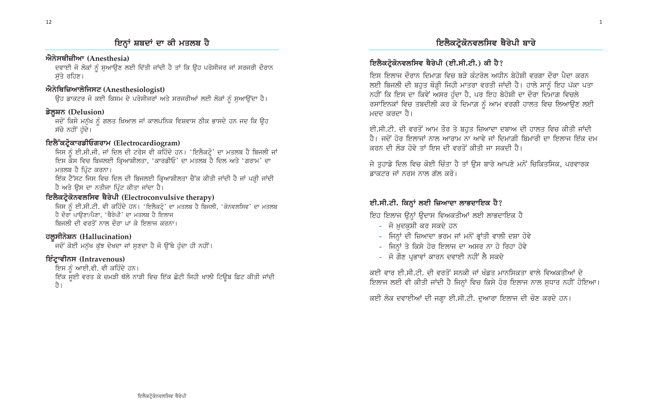#### ਐਨੇਸਥੀਜ਼ੀਆ (Anesthesia)

ਦਵਾਈ ਜੋ ਲੋਕਾਂ ਨੂੰ ਸੁਆਉਣ ਲਈ ਦਿੱਤੀ ਜਾਂਦੀ ਹੈ ਤਾਂ ਕਿ ਉਹ ਪਰੋਸੀਜਰ ਜਾਂ ਸਰਜਰੀ ਦੌਰਾਨ ਸੱਤੇ ਰਹਿਣ।

#### ਐਨੇਥਿਜ਼ਿਆਲੋਜਿਸਟ (Anesthesiologist)

ਉਹ ਡਾਕਟਰ ਜੋ ਕਈ ਕਿਸਮ ਦੇ ਪਰੋਸੀਜਰਾਂ ਅਤੇ ਸਰਜਰੀਆਂ ਲਈ ਲੋਕਾਂ ਨੂੰ ਸੁਆਉਂਦਾ ਹੈ।

#### ਡੇਲੂਸ਼ਨ (Delusion)

ਜਦੋਂ ਕਿਸੇ ਮਨੁੱਖ ਨੂੰ ਗਲਤ ਖ਼ਿਆਲ ਜਾਂ ਕਾਲਪਨਿਕ ਵਿਸ਼ਵਾਸ ਠੀਕ ਭਾਸਦੇ ਹਨ ਜਦ ਕਿ ਉਹ ਸੱਚੇ ਨਹੀਂ ਹੰਦੇ।

#### ਇਲੈੱਕਟ੍ਰੋਕਾਰਡੀਓਗਰਾਮ (Electrocardiogram)

ਜਿਸ ਨੂੰ ਈ.ਸੀ.ਜੀ. ਜਾਂ ਦਿਲ ਦੀ ਟਰੇਸ ਵੀ ਕਹਿੰਦੇ ਹਨ। 'ਇਲੈਕਟ੍ਰੋ' ਦਾ ਮਤਲਬ ਹੈ ਬਿਜਲੀ ਜਾਂ ਇਸ ਕੇਸ ਵਿਚ ਬਿਜਲਈ ਕ੍ਰਿਆਸ਼ੀਲਤਾ, 'ਕਾਰਡੀਓ' ਦਾ ਮਤਲਬ ਹੈ ਦਿਲ ਅਤੇ 'ਗਰਾਮ' ਦਾ ਮਤਲਬ ਹੈ ਪਿੰਟ ਕਰਨਾ।

ਇੱਕ ਟੈੱਸਟ ਜਿਸ ਵਿਚ ਦਿਲ ਦੀ ਬਿਜਲਈ ਕ੍ਰਿਆਸ਼ੀਲਤਾ ਚੈੱਕ ਕੀਤੀ ਜਾਂਦੀ ਹੈ ਜਾਂ ਪੜ੍ਹੀ ਜਾਂਦੀ ਹੈ ਅਤੇ ਉਸ ਦਾ ਨਤੀਜਾ ਪ੍ਰਿੰਟ ਕੀਤਾ ਜਾਂਦਾ ਹੈ।

#### ਇਲੈਕਟ੍ਰੋਕੋਨਵਲਸਿਵ ਥੈਰੇਪੀ (Electroconvulsive therapy)

ਜਿਸ ਨੂੰ ਈ.ਸੀ.ਟੀ. ਵੀ ਕਹਿੰਦੇ ਹਨ। 'ਇਲੈਕਟ੍ਰੋ' ਦਾ ਮਤਲਬ ਹੈ ਬਿਜਲੀ, 'ਕੋਨਵਲਸਿਵ' ਦਾ ਮਤਲਬ ਹੈ ਦੌਰਾ ਪਾਉਣਾ/ਪੈਣਾ, 'ਥੈਰੇਪੀ' ਦਾ ਮਤਲਬ ਹੈ ਇਲਾਜ ਬਿਜਲੀ ਦੀ ਵਰਤੋਂ ਨਾਲ ਦੌਰਾ ਪਾ ਕੇ ਇਲਾਜ ਕਰਨਾ।

#### ਹਲੂਸੀਨੇਸ਼ਨ (Hallucination)

-<br>ਜਦੋਂ ਕੋਈ ਮਨੁੱਖ ਕੁੱਝ ਦੇਖਦਾ ਜਾਂ ਸੁਣਦਾ ਹੈ ਜੋ ਉੱਥੇ ਹੁੰਦਾ ਹੀ ਨਹੀਂ।

#### ਇੰਟ੍ਰਾਵੀਨਸ (Intravenous)

ਇਸ ਨੂੰ ਆਈ.ਵੀ. ਵੀ ਕਹਿੰਦੇ ਹਨ। ਇੱਕ ਸਈ ਵਰਤ ਕੇ ਚਮੜੀ ਥੱਲੇ ਨਾੜੀ ਵਿਚ ਇੱਕ ਛੋਟੀ ਜਿਹੀ ਖਾਲੀ ਟਿਊਬ ਫ਼ਿਟ ਕੀਤੀ ਜਾਂਦੀ ਹੈ।

### ਇਲੈਕਟ੍ਰੋਕੋਨਵਲਸਿਵ ਥੈਰੇਪੀ ਬਾਰੇ

#### ਇਲੈਕਟ੍ਰੋਕੋਨਵਲਸਿਵ ਥੈਰੇਪੀ (ਈ.ਸੀ.ਟੀ.) ਕੀ ਹੈ?

ਇਸ ਇਲਾਜ ਦੌਰਾਨ ਦਿਮਾਗ਼ ਵਿਚ ਬੜੇ ਕੰਟਰੋਲ ਅਧੀਨ ਬੇਹੋਸ਼ੀ ਵਰਗਾ ਦੌਰਾ ਪੈਦਾ ਕਰਨ ਲਈ ਬਿਜਲੀ ਦੀ ਬਹਤ ਥੋੜ੍ਹੀ ਜਿਹੀ ਮਾਤਰਾ ਵਰਤੀ ਜਾਂਦੀ ਹੈ। ਹਾਲੇ ਸਾਨੂੰ ਇਹ ਪੱਕਾ ਪਤਾ ਨਹੀਂ ਕਿ ਇਸ ਦਾ ਕਿਵੇਂ ਅਸਰ ਹੁੰਦਾ ਹੈ, ਪਰ ਇਹ ਬੇਹੋਸ਼ੀ ਦਾ ਦੌਰਾ ਦਿਮਾਗ਼ ਵਿਚਲੇ ਰਸਾਇਨਕਾਂ ਵਿਚ ਤਬਦੀਲੀ ਕਰ ਕੇ ਦਿਮਾਗ਼ ਨੂੰ ਆਮ ਵਰਗੀ ਹਾਲਤ ਵਿਚ ਲਿਆਉਣ ਲਈ ਮਦਦ ਕਰਦਾ ਹੈ।

ਈ.ਸੀ.ਟੀ. ਦੀ ਵਰਤੋਂ ਆਮ ਤੌਰ ਤੇ ਬਹਤ ਜ਼ਿਆਦਾ ਦਬਾਅ ਦੀ ਹਾਲਤ ਵਿਚ ਕੀਤੀ ਜਾਂਦੀ ਹੈ। ਜਦੋਂ ਹੋਰ ਇਲਾਜਾਂ ਨਾਲ ਆਰਾਮ ਨਾ ਆਵੇ ਜਾਂ ਦਿਮਾਗ਼ੀ ਬਿਮਾਰੀ ਦਾ ਇਲਾਜ ਇੱਕ ਦਮ ਕਰਨ ਦੀ ਲੋੜ ਹੋਵੇ ਤਾਂ ਇਸ ਦੀ ਵਰਤੋਂ ਕੀਤੀ ਜਾ ਸਕਦੀ ਹੈ।

ਜੇ ਤਹਾਡੇ ਦਿਲ ਵਿਚ ਕੋਈ ਚਿੰਤਾ ਹੈ ਤਾਂ ਉਸ ਬਾਰੇ ਆਪਣੇ ਮਨੋਂ ਚਿਕਿਤਸਿਕ, ਪਰਵਾਰਕ ਡਾਕਟਰ ਜਾਂ ਨਰਸ ਨਾਲ ਗੱਲ ਕਰੋ।

#### ਈ.ਸੀ.ਟੀ. ਕਿਨ੍ਹਾਂ ਲਈ ਜ਼ਿਆਦਾ ਲਾਭਦਾਇਕ ਹੈ?

ਇਹ ਇਲਾਜ ੳਨ੍ਹਾਂ ੳਦਾਸ ਵਿਅਕਤੀਆਂ ਲਈ ਲਾਭਦਾਇਕ ਹੈ

- ਜੋ ਖ਼ੁਦਕੁਸ਼ੀ ਕਰ ਸਕਦੇ ਹਨ
- ਜਿਨ੍ਹਾਂ ਦੀ ਜ਼ਿਆਦਾ ਭਰਮ ਜਾਂ ਮਨੋਂ ਭ੍ਰਾਂਤੀ ਵਾਲੀ ਦਸ਼ਾ ਹੋਵੇ
- ਜਿਨ੍ਹਾਂ ਤੇ ਕਿਸੇ ਹੋਰ ਇਲਾਜ ਦਾ ਅਸਰ ਨਾ ਹੋ ਰਿਹਾ ਹੋਵੇ
- ਜੋ ਗੌਣ ਪੁਭਾਵਾਂ ਕਾਰਨ ਦਵਾਈ ਨਹੀਂ ਲੈ ਸਕਦੇ

ਕਈ ਵਾਰ ਈ.ਸੀ.ਟੀ. ਦੀ ਵਰਤੋਂ ਸਨਕੀ ਜਾਂ ਖੰਡਤ ਮਾਨਸਿਕਤਾ ਵਾਲੇ ਵਿਅਕਤੀਆਂ ਦੇ ਇਲਾਜ ਲਈ ਵੀ ਕੀਤੀ ਜਾਂਦੀ ਹੈ ਜਿਨ੍ਹਾਂ ਵਿਚ ਕਿਸੇ ਹੋਰ ਇਲਾਜ ਨਾਲ ਸੁਧਾਰ ਨਹੀਂ ਹੋਇਆ।

ਕਈ ਲੋਕ ਦਵਾਈਆਂ ਦੀ ਜਗ੍ਹਾ ਈ.ਸੀ.ਟੀ. ਦੁਆਰਾ ਇਲਾਜ ਦੀ ਚੋਣ ਕਰਦੇ ਹਨ।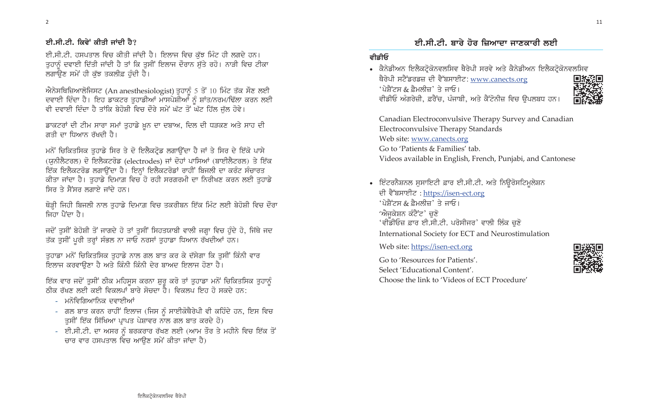#### ਈ.ਸੀ.ਟੀ. ਕਿਵੇਂ ਕੀਤੀ ਜਾਂਦੀ ਹੈ?

ਈ.ਸੀ.ਟੀ. ਹਸਪਤਾਲ ਵਿਚ ਕੀਤੀ ਜਾਂਦੀ ਹੈ। ਇਲਾਜ ਵਿਚ ਕੱਝ ਮਿੰਟ ਹੀ ਲਗਦੇ ਹਨ। ਤੁਹਾਨੂੰ ਦਵਾਈ ਦਿੱਤੀ ਜਾਂਦੀ ਹੈ ਤਾਂ ਕਿ ਤੁਸੀਂ ਇਲਾਜ ਦੌਰਾਨ ਸੁੱਤੇ ਰਹੋ। ਨਾੜੀ ਵਿਚ ਟੀਕਾ ਲਗਾਉਣ ਸਮੇਂ ਹੀ ਕੱਝ ਤਕਲੀਫ਼ ਹੰਦੀ ਹੈ।

ਐਨੇਸਥਿਜ਼ਿਆਲੋਜਿਸਟ (An anesthesiologist) ਤੁਹਾਨੂੰ 5 ਤੋਂ 10 ਮਿੰਟ ਤੱਕ ਸੌਣ ਲਈ ਦਵਾਈ ਦਿੰਦਾ ਹੈ। ਇਹ ਡਾਕਟਰ ਤੁਹਾਡੀਆਂ ਮਾਸਪੇਸ਼ੀਆਂ ਨੂੰ ਸ਼ਾਂਤ/ਨਰਮ/ਢਿੱਲਾ ਕਰਨ ਲਈ ਵੀ ਦਵਾਈ ਦਿੰਦਾ ਹੈ ਤਾਂਕਿ ਬੇਹੋਸ਼ੀ ਵਿਚ ਦੌਰੇ ਸਮੇਂ ਘੱਟ ਤੋਂ ਘੱਟ ਹਿੱਲ ਜੁੱਲ ਹੋਵੇ।

ਡਾਕਟਰਾਂ ਦੀ ਟੀਮ ਸਾਰਾ ਸਮਾਂ ਤੁਹਾਡੇ ਖ਼ੁਨ ਦਾ ਦਬਾਅ, ਦਿਲ ਦੀ ਧੜਕਣ ਅਤੇ ਸਾਹ ਦੀ ਗਤੀ ਦਾ ਧਿਆਨ ਰੱਖਦੀ ਹੈ।

ਮਨੋਂ ਚਿਕਿਤਸਿਕ ਤੁਹਾਡੇ ਸਿਰ ਤੇ ਦੋ ਇਲੈਕਟ੍ਰੋਡ ਲਗਾਉਂਦਾ ਹੈ ਜਾਂ ਤੇ ਸਿਰ ਦੇ ਇੱਕੋ ਪਾਸੇ (ਯੂਨੀਲੈਟਰਲ) ਦੋ ਇਲੈਕਟਰੋਡ (electrodes) ਜਾਂ ਦੋਹਾਂ ਪਾਸਿਆਂ (ਬਾਈਲੈਟਰਲ) ਤੇ ਇੱਕ ਇੱਕ ਇਲੈਕਟਰੋਡ ਲਗਾਉਂਦਾ ਹੈ। ਇਨ੍ਹਾਂ ਇਲੈਕਟਰੋਡਾਂ ਰਾਹੀਂ ਬਿਜਲੀ ਦਾ ਕਰੰਟ ਸੰਚਾਰਤ ਕੀਤਾ ਜਾਂਦਾ ਹੈ। ਤੁਹਾਡੇ ਦਿਮਾਗ਼ ਵਿਚ ਹੋ ਰਹੀ ਸਰਗਰਮੀ ਦਾ ਨਿਰੀਖਣ ਕਰਨ ਲਈ ਤੁਹਾਡੇ ਸਿਰ ਤੇ ਸੈਂਸਰ ਲਗਾਏ ਜਾਂਦੇ ਹਨ।

ਥੋੜ੍ਹੀ ਜਿਹੀ ਬਿਜਲੀ ਨਾਲ ਤੁਹਾਡੇ ਦਿਮਾਗ਼ ਵਿਚ ਤਕਰੀਬਨ ਇੱਕ ਮਿੰਟ ਲਈ ਬੇਹੋਸ਼ੀ ਵਿਚ ਦੌਰਾ ਜਿਹਾ ਪੈਂਦਾ ਹੈ।

ਜਦੋਂ ਤੁਸੀਂ ਬੇਹੋਸ਼ੀ ਤੋਂ ਜਾਗਦੇ ਹੋ ਤਾਂ ਤੁਸੀਂ ਸਿਹਤਯਾਬੀ ਵਾਲੀ ਜਗ੍ਹਾ ਵਿਚ ਹੁੰਦੇ ਹੋ, ਜਿੱਥੇ ਜਦ ਤੱਕ ਤੁਸੀਂ ਪੂਰੀ ਤਰ੍ਹਾਂ ਸੰਭਲ ਨਾ ਜਾਓ ਨਰਸਾਂ ਤੁਹਾਡਾ ਧਿਆਨ ਰੱਖਦੀਆਂ ਹਨ।

ਤਹਾਡਾ ਮਨੋਂ ਚਿਕਿਤਸਿਕ ਤਹਾਡੇ ਨਾਲ ਗਲ ਬਾਤ ਕਰ ਕੇ ਦੱਸੇਗਾ ਕਿ ਤਸੀਂ ਕਿੰਨੀ ਵਾਰ ਇਲਾਜ ਕਰਵਾਉਣਾ ਹੈ ਅਤੇ ਕਿੰਨੀ ਕਿੰਨੀ ਦੇਰ ਬਾਅਦ ਇਲਾਜ ਹੋਣਾ ਹੈ।

ਇੱਕ ਵਾਰ ਜਦੋਂ ਤੁਸੀਂ ਠੀਕ ਮਹਿਸੂਸ ਕਰਨਾ ਸ਼ੁਰੂ ਕਰੋ ਤਾਂ ਤੁਹਾਡਾ ਮਨੋਂ ਚਿਕਿਤਸਿਕ ਤੁਹਾਨੂੰ ਠੀਕ ਰੱਖਣ ਲਈ ਕਈ ਵਿਕਲਪਾਂ ਬਾਰੇ ਸੋਚਦਾ ਹੈ। ਵਿਕਲਪ ਇਹ ਹੋ ਸਕਦੇ ਹਨ:

- ਮਨੋਵਿਗਿਆਨਿਕ ਦਵਾਈਆਂ
- ਗਲ ਬਾਤ ਕਰਨ ਰਾਹੀਂ ਇਲਾਜ (ਜਿਸ ਨੂੰ ਸਾਈਕੋਥੈਰੇਪੀ ਵੀ ਕਹਿੰਦੇ ਹਨ, ਇਸ ਵਿਚ ਤੁਸੀਂ ਇੱਕ ਸਿੱਖਿਆ ਪ੍ਰਾਪਤ ਪੇਸ਼ਾਵਰ ਨਾਲ ਗਲ ਬਾਤ ਕਰਦੇ ਹੋ)
- ਈ.ਸੀ.ਟੀ. ਦਾ ਅਸਰ ਨੂੰ ਬਰਕਰਾਰ ਰੱਖਣ ਲਈ (ਆਮ ਤੌਰ ਤੇ ਮਹੀਨੇ ਵਿਚ ਇੱਕ ਤੋਂ ਚਾਰ ਵਾਰ ਹਸਪਤਾਲ ਵਿਚ ਆਉਣ ਸਮੇਂ ਕੀਤਾ ਜਾਂਦਾ ਹੈ)

### ਈ.ਸੀ.ਟੀ. ਬਾਰੇ ਹੋਰ ਜ਼ਿਆਦਾ ਜਾਣਕਾਰੀ ਲਈ

#### ਵੀਡੀਓ

ਥੈਰੇਪੀ ਸਟੈਂਡਰਡਜ਼ ਦੀ ਵੈੱਬਸਾਈਟ: www.canects.org 'ਪੇਸ਼ੈਂਟਸ & ਫ਼ੈਮਲੀਜ਼' ਤੇ ਜਾਓ। ਵੀਡੀਓ ਅੰਗਰੇਜ਼ੀ, ਫ਼ਰੈਂਚ, ਪੰਜਾਬੀ, ਅਤੇ ਕੈਂਟੋਨੀਜ਼ ਵਿਚ ਉਪਲਬਧ ਹਨ।

Canadian Electroconvulsive Therapy Survey and Canadian Electroconvulsive Therapy Standards Web site: www.canects.org Go to 'Patients & Families' tab. Videos available in English, French, Punjabi, and Cantonese

• ਇੰਟਰਨੈਸ਼ਨਲ ਸੁਸਾਇਟੀ ਫ਼ਾਰ ਈ.ਸੀ.ਟੀ. ਅਤੇ ਨਿਊਰੋਸਟਿਮੂਲੇਸ਼ਨ ਦੀ ਵੈੱਬਸਾਈਟ: https://isen-ect.org  $\hat{u}$ ਮੈਨੋਟਿਸ & ਫ਼ੈਮਲੀਜ਼ $\hat{u}$  ਤੇ ਜਾਓ। 'ਐਜੁਕੇਸ਼ਨ ਕੰਟੈਂਟ' ਚੁਣੋ 'ਵੀਡੀਓਜ਼ ਫ਼ਾਰ ਈ.ਸੀ.ਟੀ. ਪਰੋਸੀਜਰ' ਵਾਲੀ ਲਿੰਕ ਚੁਣੋ International Society for ECT and Neurostimulation

Web site: https://isen-ect.org

Go to 'Resources for Patients'. Select 'Educational Content'. Choose the link to 'Videos of ECT Procedure'

• ਕੈਨੇਡੀਅਨ ਇਲੈਕਟ੍ਰੋਕੋਨਵਲਸਿਵ ਥੈਰੇਪੀ ਸਰਵੇ ਅਤੇ ਕੈਨੇਡੀਅਨ ਇਲੈਕਟ੍ਰੋਕੋਨਵਲਸਿਵ



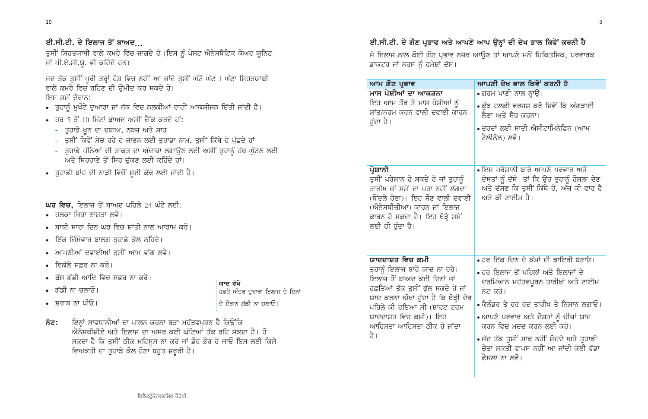#### ਈ.ਸੀ.ਟੀ. ਦੇ ਇਲਾਜ ਤੋਂ ਬਾਅਦ...

ਤੁਸੀਂ ਸਿਹਤਯਾਬੀ ਵਾਲੇ ਕਮਰੇ ਵਿਚ ਜਾਗਦੇ ਹੋ (ਇਸ ਨੂੰ ਪੋਸਟ ਐਨੇਸਥੈਟਿਕ ਕੇਅਰ ਯੂਨਿਟ ਜਾਂ ਪੀ.ਏ.ਸੀ.ਯੂ. ਵੀ ਕਹਿੰਦੇ ਹਨ)

ਜਦ ਤੱਕ ਤੁਸੀਂ ਪੂਰੀ ਤਰ੍ਹਾਂ ਹੋਸ਼ ਵਿਚ ਨਹੀਂ ਆ ਜਾਂਦੇ ਤੁਸੀਂ ਘੱਟੋ ਘੱਟ 1 ਘੰਟਾ ਸਿਹਤਯਾਬੀ ਵਾਲੇ ਕਮਰੇ ਵਿਚ ਰਹਿਣ ਦੀ ਉਮੀਦ ਕਰ ਸਕਦੇ ਹੋ। ਇਸ ਸਮੇਂ ਦੌਰਾਨ:

- ਤੁਹਾਨੂੰ ਮੁਖੌਟੇ ਦੁਆਰਾ ਜਾਂ ਨੱਕ ਵਿਚ ਨਲਕੀਆਂ ਰਾਹੀਂ ਆਕਸੀਜਨ ਦਿੱਤੀ ਜਾਂਦੀ ਹੈ।
- ਹਰ 5 ਤੋਂ 10 ਮਿੰਟਾਂ ਬਾਅਦ ਅਸੀਂ ਚੈੱਕ ਕਰਦੇ ਹਾਂ:
	- ਤੁਹਾਡੇ ਖ਼ੁਨ ਦਾ ਦਬਾਅ, ਨਬਜ਼ ਅਤੇ ਸਾਹ
	- ਤੁਸੀਂ ਕਿਵੇਂ ਸੋਚ ਰਹੇ ਹੋ ਜਾਣਨ ਲਈ ਤੁਹਾਡਾ ਨਾਮ, ਤੁਸੀਂ ਕਿੱਥੇ ਹੋ ਪੁੱਛਦੇ ਹਾਂ
	- ਤੁਹਾਡੇ ਪੱਠਿਆਂ ਦੀ ਤਾਕਤ ਦਾ ਅੰਦਾਜ਼ਾ ਲਗਾਉਣ ਲਈ ਅਸੀਂ ਤੁਹਾਨੂੰ ਹੱਥ ਘੁੱਟਣ ਲਈ ਅਤੇ ਸਿਰਹਾਣੇ ਤੋਂ ਸਿਰ ਚੱਕਣ ਲਈ ਕਹਿੰਦੇ ਹਾਂ।
- ਤੁਹਾਡੀ ਬਾਂਹ ਦੀ ਨਾੜੀ ਵਿਚੋਂ ਸੁਈ ਕੱਢ ਲਈ ਜਾਂਦੀ ਹੈ।

**ਘਰ ਵਿਚ,** ਇਲਾਜ ਤੋਂ ਬਾਅਦ ਪਹਿਲੇ 24 ਘੰਟੇ ਲਈ:

- ਹਲਕਾ ਜਿਹਾ ਨਾਸ਼ਤਾ ਲਵੋ
- ਬਾਕੀ ਸਾਰਾ ਦਿਨ ਘਰ ਵਿਚ ਸ਼ਾਂਤੀ ਨਾਲ ਆਰਾਮ ਕਰੋ।
- ਇੱਕ ਜ਼ਿੰਮੇਵਾਰ ਬਾਲਗ ਤੁਹਾਡੇ ਕੋਲ ਠਹਿਰੇ।
- ਆਪਣੀਆਂ ਦਵਾਈਆਂ ਤੁਸੀਂ ਆਮ ਵਾਂਗ ਲਵੋ।
- ਇਕੱਲੇ ਸਫ਼ਰ ਨਾ ਕਰੋ।
- ਬੱਸ ਗੱਡੀ ਆਦਿ ਵਿਚ ਸਫ਼ਰ ਨਾ ਕਰੋ।
- ਗੱਡੀ ਨਾ ਚਲਾਓ।
- ਸ਼ਰਾਬ ਨਾ ਪੀਓ।
- ਇਨ੍ਹਾਂ ਸਾਵਧਾਨੀਆਂ ਦਾ ਪਾਲਨ ਕਰਨਾ ਬੜਾ ਮਹੱਤਵਪੂਰਨ ਹੈ ਕਿਉਂਕਿ ਨੋਟ: ਐਨੇਸਥੀਜ਼ੀਏ ਅਤੇ ਇਲਾਜ ਦਾ ਅਸਰ ਕਈ ਘੰਟਿਆਂ ਤੱਕ ਰਹਿ ਸਕਦਾ ਹੈ। ਹੋ ਸਕਦਾ ਹੈ ਕਿ ਤਸੀਂ ਠੀਕ ਮਹਿਸਸ ਨਾ ਕਰੋ ਜਾਂ ਡੌਰ ਭੌਰ ਹੋ ਜਾਓ ਇਸ ਲਈ ਕਿਸੇ ਵਿਅਕਤੀ ਦਾ ਤੁਹਾਡੇ ਕੋਲ ਹੋਣਾ ਬਹੁਤ ਜ਼ਰੂਰੀ ਹੈ।

ਯਾਦ ਰੱਖੋ ਹਫ਼ਤੇ ਅੰਦਰ ਦਬਾਰਾ ਇਲਾਜ ਦੇ ਦਿਨਾਂ ਦੇ ਦੌਰਾਨ ਗੱਡੀ ਨਾ ਚਲਾਓ।

#### ਈ.ਸੀ.ਟੀ. ਦੇ ਗੌਣ ਪ੍ਰਭਾਵ ਅਤੇ ਆਪਣੇ ਆਪ ਉਨ੍ਹਾਂ ਦੀ ਦੇਖ ਭਾਲ ਕਿਵੇਂ ਕਰਨੀ ਹੈ

ਜੇ ਇਲਾਜ ਨਾਲ ਕੋਈ ਗੌਣ ਪ੍ਰਭਾਵ ਨਜ਼ਰ ਆਉਣ ਤਾਂ ਆਪਣੇ ਮਨੋਂ ਚਿਕਿਤਸਿਕ, ਪਰਵਾਰਕ ਡਾਕਟਰ ਜਾਂ ਨਰਸ ਨੂੰ ਹਮੇਸ਼ਾਂ ਦੱਸੋ।

#### ਆਮ ਗੌਣ ਪ੍ਰਭਾਵ

ਮਾਸ ਪੇਸ਼ੀਆਂ ਦਾ ਆਕੜਨਾ ਇਹ ਆਮ ਤੌਰ ਤੇ ਮਾਸ ਪੇਸ਼ੀਆਂ ਨੂੰ ਸ਼ਾਂਤ/ਨਰਮ ਕਰਨ ਵਾਲੀ ਦਵਾਈ ਕਾਰਨ ਹੰਦਾ ਹੈ।

#### ਪ੍ਰੇਸ਼ਾਨੀ

ਤੁਸੀਂ ਪਰੇਸ਼ਾਨ ਹੋ ਸਕਦੇ ਹੋ ਜਾਂ ਤੁਹਾਨੂੰ ਤਾਰੀਖ਼ ਜਾਂ ਸਮੇਂ ਦਾ ਪਤਾ ਨਹੀਂ ਲੱਗਦਾ (ਬੌਂਦਲੇ ਹੋਣਾ)। ਇਹ ਸੌਣ ਵਾਲੀ ਦਵਾਈ (ਐਨੇਸਥੀਜ਼ੀਆ) ਕਾਰਨ ਜਾਂ ਇਲਾਜ ਕਾਰਨ ਹੋ ਸਕਦਾ ਹੈ। ਇਹ ਥੋੜ੍ਹੇ ਸਮੇਂ ਲਈ ਹੀ ਹੰਦਾ ਹੈ।

#### ਯਾਦਦਾਸ਼ਤ ਵਿਚ ਕਮੀ

ਤੁਹਾਨੂੰ ਇਲਾਜ ਬਾਰੇ ਯਾਦ ਨਾ ਰਹੇ। ਇਲਾਜ ਤੋਂ ਬਾਅਦ ਕਈ ਦਿਨਾਂ ਜਾਂ ਹਫ਼ਤਿਆਂ ਤੱਕ ਤੁਸੀਂ ਭੁੱਲ ਸਕਦੇ ਹੋ ਜਾਂ ਯਾਦ ਕਰਨਾ ਔਖਾ ਹੁੰਦਾ ਹੈ ਕਿ ਥੋੜ੍ਹੀ ਦੇਰ ਪਹਿਲੇ ਕੀ ਹੋਇਆ ਸੀ (ਸ਼ਾਰਟ ਟਰਮ ਯਾਦਦਾਸ਼ਤ ਵਿਚ ਕਮੀ)। ਇਹ ਆਹਿਸਤਾ ਆਹਿਸਤਾ ਨੀਕ ਹੋ ਜਾਂਦਾ ਹੈ।

#### ਆਪਣੀ ਦੇਖ ਭਾਲ ਕਿਵੇਂ ਕਰਨੀ ਹੈ

- ਗਰਮ ਪਾਣੀ ਨਾਲ ਨ੍ਹਾਉ।
- ∙ ਕੱਝ ਹਲਕੀ ਵਰਜਸ਼ ਕਰੋ ਜਿਵੇਂ ਕਿ ਅੰਗੜਾਈ ਲੈਣਾ ਅਤੇ ਸੈਰ ਕਰਨਾ।
- ਦਰਦਾਂ ਲਈ ਸਾਦੀ ਐਸੀਟਾਮਿਨੋਫਿਨ (ਆਮ ਟੈਲੀਨੋਲ) ਲਵੋ।
- ਇਸ ਪਰੇਸ਼ਾਨੀ ਬਾਰੇ ਆਪਣੇ ਪਰਵਾਰ ਅਤੇ ਦੋਸਤਾਂ ਨੂੰ ਦੱਸੋ ਤਾਂ ਕਿ ਉਹ ਤੁਹਾਨੂੰ ਹੌਸਲਾ ਦੇਣ ਅਤੇ ਦੱਸਣ ਕਿ ਤੁਸੀਂ ਕਿੱਥੇ ਹੋ, ਅੱਜ ਕੀ ਵਾਰ ਹੈ ਅਤੇ ਕੀ ਟਾਈਮ ਹੈ।

- ਹਰ ਇੱਕ ਦਿਨ ਦੇ ਕੰਮਾਂ ਦੀ ਡਾਇਰੀ ਬਣਾਓ।
- ∙ ਹਰ ਇਲਾਜ ਤੋਂ ਪਹਿਲਾਂ ਅਤੇ ਇਲਾਜਾਂ ਦੇ ਦਰਮਿਆਨ ਮਹੱਤਵਪੂਰਨ ਤਾਰੀਖ਼ਾਂ ਅਤੇ ਟਾਈਮ ਨੋਟ ਕਰੋ।
- ਕੈਲੰਡਰ ਤੇ ਹਰ ਰੋਜ਼ ਤਾਰੀਖ਼ ਤੇ ਨਿਸ਼ਾਨ ਲਗਾਓ।
- ਆਪਣੇ ਪਰਵਾਰ ਅਤੇ ਦੋਸਤਾਂ ਨੰ ਚੀਜ਼ਾਂ ਯਾਦ ਕਰਨ ਵਿਚ ਮਦਦ ਕਰਨ ਲਈ ਕਹੋ।
- ਜੱਦ ਤੱਕ ਤੁਸੀਂ ਸਾਫ਼ ਨਹੀਂ ਸੋਚਦੇ ਅਤੇ ਤੁਹਾਡੀ ਚੇਤਾ ਸ਼ਕਤੀ ਵਾਪਸ ਨਹੀਂ ਆ ਜਾਂਦੀ ਕੋਈ ਵੱਡਾ ਫ਼ੈਸਲਾ ਨਾ ਲਵੋ।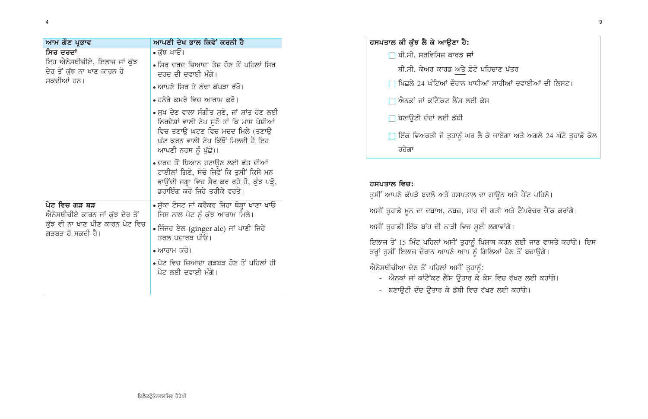| ਆਮ ਗੌਣ ਪ੍ਰਭਾਵ                                                                                            | ਆਪਣੀ ਦੇਖ ਭਾਲ ਕਿਵੇਂ ਕਰਨੀ ਹੈ                                                                                                                                 |  |
|----------------------------------------------------------------------------------------------------------|------------------------------------------------------------------------------------------------------------------------------------------------------------|--|
| ਸਿਰ ਦਰਦਾਂ<br>ਇਹ ਐਨੇਸਥੀਜ਼ੀਏ, ਇਲਾਜ ਜਾਂ ਕੁੱਝ<br>ਦੇਰ ਤੋਂ ਕੁੱਝ ਨਾ ਖਾਣ ਕਾਰਨ ਹੋ<br>ਸਕਦੀਆਂ ਹਨ।                   | • ਕੁੱਝ ਖਾਓ।                                                                                                                                                |  |
|                                                                                                          | ∙ ਸਿਰ ਦਰਦ ਜ਼ਿਆਦਾ ਤੇਜ਼ ਹੋਣ ਤੋਂ ਪਹਿਲਾਂ ਸਿਰ<br>ਦਰਦ ਦੀ ਦਵਾਈ ਮੰਗੋ।                                                                                              |  |
|                                                                                                          | • ਆਪਣੇ ਸਿਰ ਤੇ ਠੰਢਾ ਕੱਪੜਾ ਰੱਖੋ।                                                                                                                             |  |
|                                                                                                          | • ਹਨੇਰੇ ਕਮਰੇ ਵਿਚ ਆਰਾਮ ਕਰੋ।                                                                                                                                 |  |
|                                                                                                          | ∙ ਸੁਖ ਦੇਣ ਵਾਲਾ ਸੰਗੀਤ ਸੁਣੋ, ਜਾਂ ਸ਼ਾਂਤ ਹੋਣ ਲਈ<br>ਨਿਰਦੇਸ਼ਾਂ ਵਾਲੀ ਟੇਪ ਸੁਣੋ ਤਾਂ ਕਿ ਮਾਸ ਪੇਸ਼ੀਆਂ                                                                  |  |
|                                                                                                          | ਵਿਚ ਤਣਾੳ ਘਟਣ ਵਿਚ ਮਦਦ ਮਿਲੇ (ਤਣਾੳ<br>ਘੱਟ ਕਰਨ ਵਾਲੀ ਟੇਪ ਕਿੱਥੋਂ ਮਿਲਦੀ ਹੈ ਇਹ                                                                                     |  |
|                                                                                                          | ਆਪਣੀ ਨਰਸ ਨੂੰ ਪੁੱਛੋ)।                                                                                                                                       |  |
|                                                                                                          | ∙ ਦਰਦ ਤੋਂ ਧਿਆਨ ਹਟਾਉਣ ਲਈ ਛੱਤ ਦੀਆਂ<br>ਟਾਈਲਾਂ ਗਿਣੋ, ਸੋਚੋ ਜਿਵੇਂ ਕਿ ਤੁਸੀਂ ਕਿਸੇ ਮਨ<br>ਭਾਉਂਦੀ ਜਗ੍ਹਾ ਵਿਚ ਸੈਰ ਕਰ ਰਹੇ ਹੋ, ਕੁੱਝ ਪੜ੍ਹੋ,<br>ਡਰਾਇੰਗ ਕਰੋ ਜਿਹੇ ਤਰੀਕੇ ਵਰਤੋ। |  |
| ਪੇਟ ਵਿਚ ਗੜ ਬੜ<br>ਐਨੇਸਥੀਜ਼ੀਏ ਕਾਰਨ ਜਾਂ ਕੁੱਝ ਦੇਰ ਤੋਂ<br>ਕੁੱਝ ਵੀ ਨਾ ਖਾਣ ਪੀਣ ਕਾਰਨ ਪੇਟ ਵਿਚ<br>ਗੜਬੜ ਹੋ ਸਕਦੀ ਹੈ। | ∙ ਸੁੱਕਾ ਟੋਸਟ ਜਾਂ ਕਰੈਕਰ ਜਿਹਾ ਥੋੜ੍ਹਾ ਖਾਣਾ ਖਾਓ<br>ਜਿਸ ਨਾਲ ਪੇਟ ਨੂੰ ਕੁੱਝ ਆਰਾਮ ਮਿਲੇ।                                                                             |  |
|                                                                                                          | ∙ ਜਿੰਜਰ ਏਲ (ginger ale) ਜਾਂ ਪਾਣੀ ਜਿਹੇ<br>ਤਰਲ ਪਦਾਰਥ ਪੀਓ।                                                                                                    |  |
|                                                                                                          | • ਆਰਾਮ ਕਰੋ।                                                                                                                                                |  |
|                                                                                                          | ∙ ਪੇਟ ਵਿਚ ਜ਼ਿਆਦਾ ਗੜਬੜ ਹੋਣ ਤੋਂ ਪਹਿਲਾਂ ਹੀ<br>ਪੇਟ ਲਈ ਦਵਾਈ ਮੰਗੋ।                                                                                               |  |
|                                                                                                          |                                                                                                                                                            |  |
|                                                                                                          |                                                                                                                                                            |  |

.<br>ਫ਼ੋਟੋ ਪਹਿਚਾਣ ਪੱਤਰ

ਖਾਧੀਆਂ ਸਾਰੀਆਂ ਦਵਾਈਆਂ ਦੀ ਲਿਸਟ।

ਣੀ ਕੇਸ

ਰਿ ਲੈ ਕੇ ਜਾਏਗਾ ਅਤੇ ਅਗਲੇ 24 ਘੰਟੇ ਤੁਹਾਡ<mark>ੇ</mark> ਕੋਲ

```
ਾਲ ਦਾ ਗਾਊਨ ਅਤੇ ਪੈਂਟ ਪਹਿਨੋ।
-<br>ਸਾਹ ਦੀ ਗਤੀ ਅਤੇ ਟੈਂਪਰੇਚਰ ਚੈੱਕ ਕਰਾਂਗੇ।
 ਸੂਈ ਲਗਾਵਾਂਗੇ।
ਨੂੰ ਪਿਸ਼ਾਬ ਕਰਨ ਲਈ ਜਾਣ ਵਾਸਤੇ ਕਹਾਂਂਗੇ। ਇਸ
ੱਨੂੰ ਗਿਲਿਆਂ ਹੋਣ ਤੋਂ ਬਚਾਉਗੇ।
<sup>ਰਹਾ</sup>ਨੂੰ:<br>ਰ ਕੇ ਕੇਸ ਵਿਚ ਰੱਖਣ ਲਈ ਕਹਾਂਗੇ।
.<br>ਵਚ ਰੱਖਣ ਲਈ ਕਹਾਂਗੇ।
```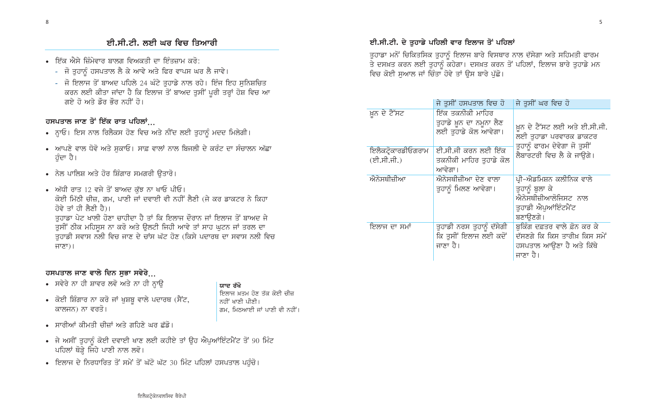### ਈ.ਸੀ.ਟੀ. ਲਈ ਘਰ ਵਿਚ ਤਿਆਰੀ

- ਇੱਕ ਐਸੇ ਜ਼ਿੰਮੇਵਾਰ ਬਾਲਗ ਵਿਅਕਤੀ ਦਾ ਇੰਤਜ਼ਾਮ ਕਰੋ:
	- ਜੋ ਤੁਹਾਨੂੰ ਹਸਪਤਾਲ ਲੈ ਕੇ ਆਵੇ ਅਤੇ ਫਿਰ ਵਾਪਸ ਘਰ ਲੈ ਜਾਵੇ।
	- ਜੋ ਇਲਾਜ ਤੋਂ ਬਾਅਦ ਪਹਿਲੇ 24 ਘੰਟੇ ਤੁਹਾਡੇ ਨਾਲ ਰਹੇ। ਇੰਜ ਇਹ ਸੁਨਿਸ਼ਚਿਤ ਕਰਨ ਲਈ ਕੀਤਾ ਜਾਂਦਾ ਹੈ ਕਿ ਇਲਾਜ ਤੋਂ ਬਾਅਦ ਤੁਸੀਂ ਪੂਰੀ ਤਰ੍ਹਾਂ ਹੋਸ਼ ਵਿਚ ਆ ਗਏ ਹੋ ਅਤੇ ਡੌਰ ਭੌਰ ਨਹੀਂ ਹੋ।

#### ਹਸਪਤਾਲ ਜਾਣ ਤੋਂ ਇੱਕ ਰਾਤ ਪਹਿਲਾਂ...

- ਨ੍ਹਾਓ। ਇਸ ਨਾਲ ਰਿਲੈਕਸ ਹੋਣ ਵਿਚ ਅਤੇ ਨੀਂਦ ਲਈ ਤੁਹਾਨੂੰ ਮਦਦ ਮਿਲੇਗੀ।
- ਆਪਣੇ ਵਾਲ ਧੋਵੋ ਅਤੇ ਸੁਕਾਓ। ਸਾਫ਼ ਵਾਲਾਂ ਨਾਲ ਬਿਜਲੀ ਦੇ ਕਰੰਟ ਦਾ ਸੰਚਾਲਨ ਅੱਛਾ ਹੰਦਾ ਹੈ।
- ਨੇਲ ਪਾਲਿਸ਼ ਅਤੇ ਹੋਰ ਸ਼ਿੰਗਾਰ ਸਮਗਰੀ ਉਤਾਰੋ।
- ਅੱਧੀ ਰਾਤ 12 ਵਜੇ ਤੋਂ ਬਾਅਦ ਕੱਝ ਨਾ ਖਾਓ ਪੀਓ। ਕੋਈ ਮਿੱਠੀ ਚੀਜ਼, ਗਮ, ਪਾਣੀ ਜਾਂ ਦਵਾਈ ਵੀ ਨਹੀਂ ਲੈਣੀ (ਜੇ ਕਰ ਡਾਕਟਰ ਨੇ ਕਿਹਾ ਹੋਵੇ ਤਾਂ ਹੀ ਲੈਣੀ ਹੈ)। ਤਹਾਡਾ ਪੇਟ ਖਾਲੀ ਹੋਣਾ ਚਾਹੀਦਾ ਹੈ ਤਾਂ ਕਿ ਇਲਾਜ ਦੌਰਾਨ ਜਾਂ ਇਲਾਜ ਤੋਂ ਬਾਅਦ ਜੇ ਤੁਸੀਂ ਠੀਕ ਮਹਿਸੁਸ ਨਾ ਕਰੋ ਅਤੇ ਉਲਟੀ ਜਿਹੀ ਆਵੇ ਤਾਂ ਸਾਹ ਘੁਟਨ ਜਾਂ ਤਰਲ ਦਾ ਤੁਹਾਡੀ ਸਵਾਸ ਨਲੀ ਵਿਚ ਜਾਣ ਦੇ ਚਾਂਸ ਘੱਟ ਹੋਣ (ਕਿਸੇ ਪਦਾਰਥ ਦਾ ਸਵਾਸ ਨਲੀ ਵਿਚ ਜਾਣਾ)।

#### ਹਸਪਤਾਲ ਜਾਣ ਵਾਲੇ ਦਿਨ ਸਭਾ ਸਵੇਰੇ...

- ਸਵੇਰੇ ਨਾ ਹੀ ਸ਼ਾਵਰ ਲਵੋ ਅਤੇ ਨਾ ਹੀ ਨ੍ਹਾਉ
- ਕੋਈ ਸ਼ਿੰਗਾਰ ਨਾ ਕਰੋ ਜਾਂ ਖੁਸ਼ਬੂ ਵਾਲੇ ਪਦਾਰਥ (ਸੈਂਟ, ਕਾਲਜਨ) ਨਾ ਵਰਤੋ।
- ਸਾਰੀਆਂ ਕੀਮਤੀ ਚੀਜ਼ਾਂ ਅਤੇ ਗਹਿਣੇ ਘਰ ਛੱਡੋ।
- ਜੇ ਅਸੀਂ ਤੁਹਾਨੂੰ ਕੋਈ ਦਵਾਈ ਖਾਣ ਲਈ ਕਹੀਏ ਤਾਂ ਉਹ ਐਪੂਆਂਇੰਟਮੈਂਟ ਤੋਂ 90 ਮਿੰਟ ਪਹਿਲਾਂ ਥੋੜ੍ਹੇ ਜਿਹੇ ਪਾਣੀ ਨਾਲ ਲਵੋ।

ਯਾਦ ਰੱਖੋ

ਨਹੀਂ ਖਾਣੀ ਪੀਣੀ।

ਇਲਾਜ ਖ਼ਤਮ ਹੋਣ ਤੱਕ ਕੋਈ ਚੀਜ਼

ਗਮ, ਮਿਠਆਈ ਜਾਂ ਪਾਣੀ ਵੀ ਨਹੀਂ।

• ਇਲਾਜ ਦੇ ਨਿਰਧਾਰਿਤ ਤੋਂ ਸਮੇਂ ਤੋਂ ਘੱਟੋ ਘੱਟ 30 ਮਿੰਟ ਪਹਿਲਾਂ ਹਸਪਤਾਲ ਪਹੁੰਚੋ।

#### ਈ.ਸੀ.ਟੀ. ਦੇ ਤੁਹਾਡੇ ਪਹਿਲੀ ਵਾਰ ਇਲਾਜ ਤੋਂ ਪਹਿਲਾਂ

ਤੁਹਾਡਾ ਮਨੋਂ ਚਿਕਿਤਸਿਕ ਤੁਹਾਨੂੰ ਇਲਾਜ ਬਾਰੇ ਵਿਸਥਾਰ ਨਾਲ ਦੱਸੇਗਾ ਅਤੇ ਸਹਿਮਤੀ ਫਾਰਮ ਤੇ ਦਸਖ਼ਤ ਕਰਨ ਲਈ ਤੁਹਾਨੂੰ ਕਹੇਗਾ। ਦਸਖ਼ਤ ਕਰਨ ਤੋਂ ਪਹਿਲਾਂ, ਇਲਾਜ ਬਾਰੇ ਤੁਹਾਡੇ ਮਨ ਵਿਚ ਕੋਈ ਸੁਆਲ ਜਾਂ ਚਿੰਤਾ ਹੋਵੇ ਤਾਂ ਉਸ ਬਾਰੇ ਪੁੱਛੋ।

|                                        | ਜੇ ਤਸੀਂ ਹਸਪਤਾਲ ਵਿਚ ਹੋ                                               | ਜੇ ਤਸੀਂ ਘਰ ਵਿਚ ਹੋ                                                                                    |
|----------------------------------------|---------------------------------------------------------------------|------------------------------------------------------------------------------------------------------|
| ਖ਼ੂਨ ਦੇ ਟੈੱਸਟ                          | ਇੱਕ ਤਕਨੀਕੀ ਮਾਹਿਰ<br>ਤੁਹਾਡੇ ਖ਼ੁਨ ਦਾ ਨਮੂਨਾ ਲੈਣ<br>ਲਈ ਤਹਾਡੇ ਕੋਲ ਆਵੇਗਾ। | ਖ਼ੁਨ ਦੇ ਟੈੱਸਟ ਲਈ ਅਤੇ ਈ.ਸੀ.ਜੀ.<br>ਲਈ ਤਹਾਡਾ ਪਰਵਾਰਕ ਡਾਕਟਰ                                               |
| ਇਲੈਕਟ੍ਰੋਕਾਰਡੀਓਗਰਾਮ<br>$($ ਈ.ਸੀ.ਜੀ. $)$ | ਈ.ਸੀ.ਜੀ ਕਰਨ ਲਈ ਇੱਕ<br>ਤਕਨੀਕੀ ਮਾਹਿਰ ਤਹਾਡੇ ਕੋਲ<br>ਆਵੇਗਾ।              | ਤੁਹਾਨੂੰ ਫਾਰਮ ਦੇਵੇਗਾ ਜੋ ਤੁਸੀਂ<br>ਲੈਬਾਰਟਰੀ ਵਿਚ ਲੈ ਕੇ ਜਾਉਗੇ।                                            |
| ਐਨੇਸਥੀਜ਼ੀਆ                             | ਐਨੇਸਥੀਜ਼ੀਆ ਦੇਣ ਵਾਲਾ<br>ਤੁਹਾਨੂੰ ਮਿਲਣ ਆਵੇਗਾ।                          | ਪ੍ਰੀ–ਐਡਮਿਸ਼ਨ ਕਲੀਨਿਕ ਵਾਲੇ<br>ਤੁਹਾਨੂੰ ਬੁਲਾ ਕੇ<br>ਐਨੇਸਥੀਜ਼ੀਆਲੋਜਿਸਟ ਨਾਲ<br>ਤਹਾਡੀ ਐਪਆਂਇੰਟਮੈਂਟ<br>ਬਣਾੳਣਗੇ। |
| ਇਲਾਜ ਦਾ ਸਮਾਂ                           | ਤੁਹਾਡੀ ਨਰਸ ਤੁਹਾਨੂੰ ਦੱਸੇਗੀ<br>ਕਿ ਤਸੀਂ ਇਲਾਜ ਲਈ ਕਦੋਂ<br>ਜਾਣਾ ਹੈ।       | ਬਕਿੰਗ ਦਫ਼ਤਰ ਵਾਲੇ ਫ਼ੋਨ ਕਰ ਕੇ<br>ਦੱਸਣਗੇ ਕਿ ਕਿਸ ਤਾਰੀਖ਼ ਕਿਸ ਸਮੇਂ<br>ਹਸਪਤਾਲ ਆੳਣਾ ਹੈ ਅਤੇ ਕਿੱਥੇ<br>ਜਾਣਾ ਹੈ। |